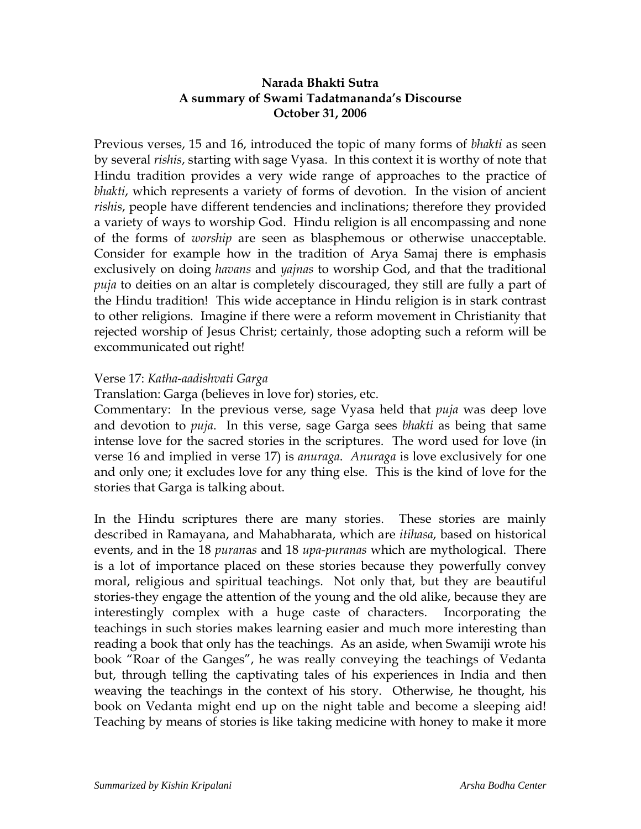## **Narada Bhakti Sutra A summary of Swami Tadatmananda's Discourse October 31, 2006**

Previous verses, 15 and 16, introduced the topic of many forms of *bhakti* as seen by several *rishis*, starting with sage Vyasa. In this context it is worthy of note that Hindu tradition provides a very wide range of approaches to the practice of *bhakti*, which represents a variety of forms of devotion. In the vision of ancient *rishis*, people have different tendencies and inclinations; therefore they provided a variety of ways to worship God. Hindu religion is all encompassing and none of the forms of *worship* are seen as blasphemous or otherwise unacceptable. Consider for example how in the tradition of Arya Samaj there is emphasis exclusively on doing *havans* and *yajnas* to worship God, and that the traditional *puja* to deities on an altar is completely discouraged, they still are fully a part of the Hindu tradition! This wide acceptance in Hindu religion is in stark contrast to other religions. Imagine if there were a reform movement in Christianity that rejected worship of Jesus Christ; certainly, those adopting such a reform will be excommunicated out right!

## Verse 17: *Katha-aadishvati Garga*

Translation: Garga (believes in love for) stories, etc.

Commentary: In the previous verse, sage Vyasa held that *puja* was deep love and devotion to *puja*. In this verse, sage Garga sees *bhakti* as being that same intense love for the sacred stories in the scriptures. The word used for love (in verse 16 and implied in verse 17) is *anuraga*. *Anuraga* is love exclusively for one and only one; it excludes love for any thing else. This is the kind of love for the stories that Garga is talking about.

In the Hindu scriptures there are many stories. These stories are mainly described in Ramayana, and Mahabharata, which are *itihasa*, based on historical events, and in the 18 *puran*a*s* and 18 *upa-puranas* which are mythological. There is a lot of importance placed on these stories because they powerfully convey moral, religious and spiritual teachings. Not only that, but they are beautiful stories-they engage the attention of the young and the old alike, because they are interestingly complex with a huge caste of characters. Incorporating the teachings in such stories makes learning easier and much more interesting than reading a book that only has the teachings. As an aside, when Swamiji wrote his book "Roar of the Ganges", he was really conveying the teachings of Vedanta but, through telling the captivating tales of his experiences in India and then weaving the teachings in the context of his story. Otherwise, he thought, his book on Vedanta might end up on the night table and become a sleeping aid! Teaching by means of stories is like taking medicine with honey to make it more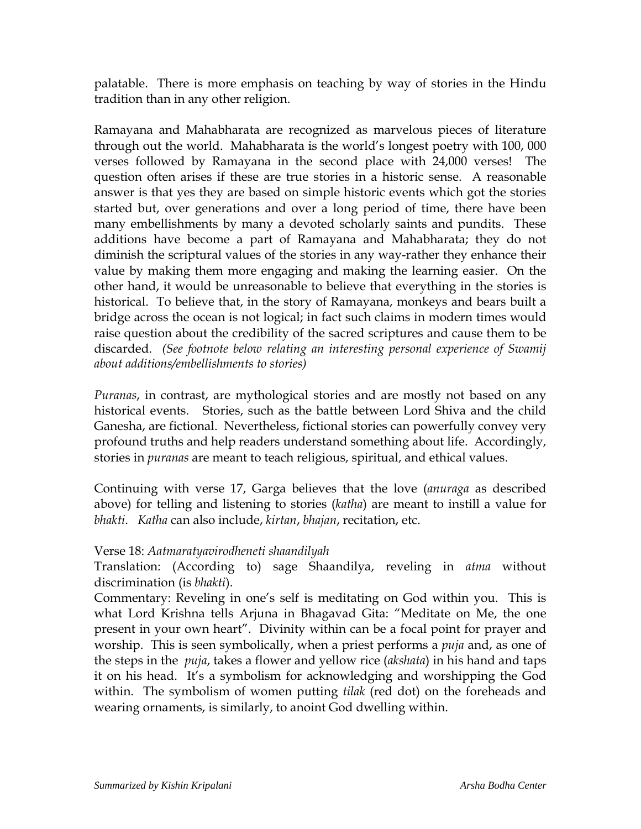palatable. There is more emphasis on teaching by way of stories in the Hindu tradition than in any other religion.

Ramayana and Mahabharata are recognized as marvelous pieces of literature through out the world. Mahabharata is the world's longest poetry with 100, 000 verses followed by Ramayana in the second place with 24,000 verses! The question often arises if these are true stories in a historic sense. A reasonable answer is that yes they are based on simple historic events which got the stories started but, over generations and over a long period of time, there have been many embellishments by many a devoted scholarly saints and pundits. These additions have become a part of Ramayana and Mahabharata; they do not diminish the scriptural values of the stories in any way-rather they enhance their value by making them more engaging and making the learning easier. On the other hand, it would be unreasonable to believe that everything in the stories is historical. To believe that, in the story of Ramayana, monkeys and bears built a bridge across the ocean is not logical; in fact such claims in modern times would raise question about the credibility of the sacred scriptures and cause them to be discarded. *(See footnote below relating an interesting personal experience of Swamij about additions/embellishments to stories)*

*Puranas*, in contrast, are mythological stories and are mostly not based on any historical events. Stories, such as the battle between Lord Shiva and the child Ganesha, are fictional. Nevertheless, fictional stories can powerfully convey very profound truths and help readers understand something about life. Accordingly, stories in *puranas* are meant to teach religious, spiritual, and ethical values.

Continuing with verse 17, Garga believes that the love (*anuraga* as described above) for telling and listening to stories (*katha*) are meant to instill a value for *bhakti*. *Katha* can also include, *kirtan*, *bhajan*, recitation, etc.

## Verse 18: *Aatmaratyavirodheneti shaandilyah*

Translation: (According to) sage Shaandilya, reveling in *atma* without discrimination (is *bhakti*).

Commentary: Reveling in one's self is meditating on God within you. This is what Lord Krishna tells Arjuna in Bhagavad Gita: "Meditate on Me, the one present in your own heart". Divinity within can be a focal point for prayer and worship. This is seen symbolically, when a priest performs a *puja* and, as one of the steps in the *puja*, takes a flower and yellow rice (*akshata*) in his hand and taps it on his head. It's a symbolism for acknowledging and worshipping the God within. The symbolism of women putting *tilak* (red dot) on the foreheads and wearing ornaments, is similarly, to anoint God dwelling within.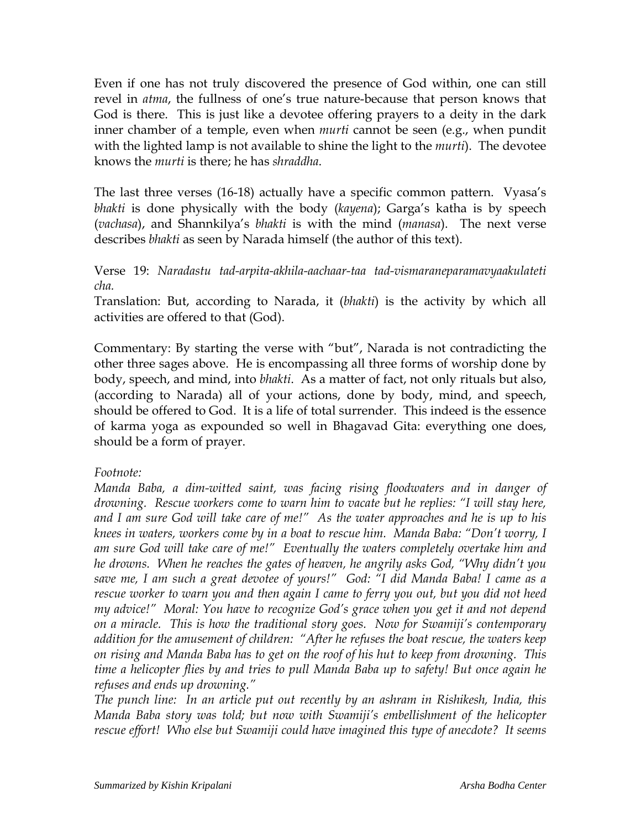Even if one has not truly discovered the presence of God within, one can still revel in *atma*, the fullness of one's true nature-because that person knows that God is there. This is just like a devotee offering prayers to a deity in the dark inner chamber of a temple, even when *murti* cannot be seen (e.g., when pundit with the lighted lamp is not available to shine the light to the *murti*). The devotee knows the *murti* is there; he has *shraddha*.

The last three verses (16-18) actually have a specific common pattern. Vyasa's *bhakti* is done physically with the body (*kayena*); Garga's katha is by speech (*vachasa*), and Shannkilya's *bhakti* is with the mind (*manasa*). The next verse describes *bhakti* as seen by Narada himself (the author of this text).

Verse 19: *Naradastu tad-arpita-akhila-aachaar-taa tad-vismaraneparamavyaakulateti cha.*

Translation: But, according to Narada, it (*bhakti*) is the activity by which all activities are offered to that (God).

Commentary: By starting the verse with "but", Narada is not contradicting the other three sages above. He is encompassing all three forms of worship done by body, speech, and mind, into *bhakti*. As a matter of fact, not only rituals but also, (according to Narada) all of your actions, done by body, mind, and speech, should be offered to God. It is a life of total surrender. This indeed is the essence of karma yoga as expounded so well in Bhagavad Gita: everything one does, should be a form of prayer.

## *Footnote:*

*Manda Baba, a dim-witted saint, was facing rising floodwaters and in danger of drowning. Rescue workers come to warn him to vacate but he replies: "I will stay here, and I am sure God will take care of me!" As the water approaches and he is up to his knees in waters, workers come by in a boat to rescue him. Manda Baba: "Don't worry, I am sure God will take care of me!" Eventually the waters completely overtake him and he drowns. When he reaches the gates of heaven, he angrily asks God, "Why didn't you save me, I am such a great devotee of yours!" God: "I did Manda Baba! I came as a rescue worker to warn you and then again I came to ferry you out, but you did not heed my advice!" Moral: You have to recognize God's grace when you get it and not depend on a miracle. This is how the traditional story goes. Now for Swamiji's contemporary addition for the amusement of children: "After he refuses the boat rescue, the waters keep on rising and Manda Baba has to get on the roof of his hut to keep from drowning. This time a helicopter flies by and tries to pull Manda Baba up to safety! But once again he refuses and ends up drowning."* 

*The punch line: In an article put out recently by an ashram in Rishikesh, India, this Manda Baba story was told; but now with Swamiji's embellishment of the helicopter rescue effort! Who else but Swamiji could have imagined this type of anecdote? It seems*